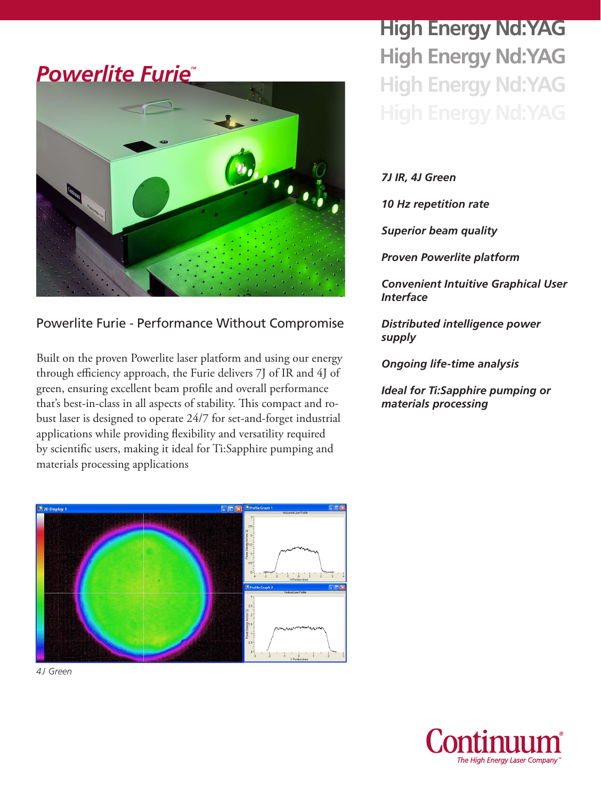#### *Powerlite Furie*



#### Powerlite Furie - Performance Without Compromise

Built on the proven Powerlite laser platform and using our energy through efficiency approach, the Furie delivers 7J of IR and 4J of green, ensuring excellent beam profile and overall performance that's best-in-class in all aspects of stability. This compact and robust laser is designed to operate 24/7 for set-and-forget industrial applications while providing flexibility and versatility required by scientific users, making it ideal for Ti:Sapphire pumping and materials processing applications



*4J Green*

**High Energy Nd:YAG High Energy Nd:YAG High Energy Nd:YAG**

*7J IR, 4J Green*

*10 Hz repetition rate*

*Superior beam quality*

*Proven Powerlite platform*

*Convenient Intuitive Graphical User Interface*

*Distributed intelligence power supply*

*Ongoing life-time analysis*

*Ideal for Ti:Sapphire pumping or materials processing*